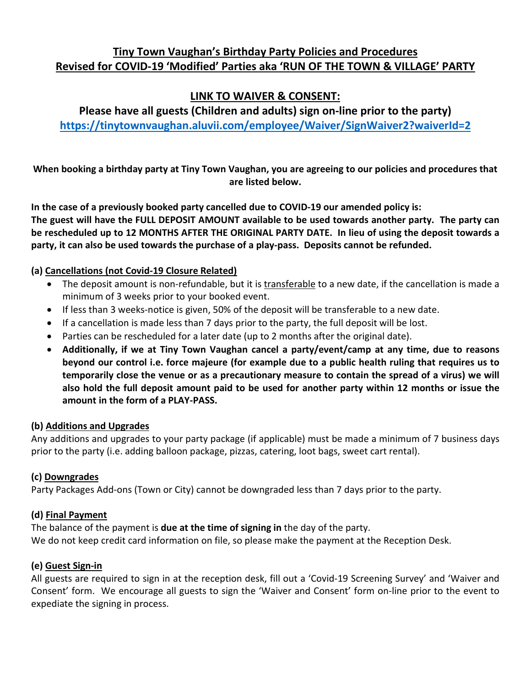# **Tiny Town Vaughan's Birthday Party Policies and Procedures Revised for COVID-19 'Modified' Parties aka 'RUN OF THE TOWN & VILLAGE' PARTY**

# **LINK TO WAIVER & CONSENT:**

**Please have all guests (Children and adults) sign on-line prior to the party) <https://tinytownvaughan.aluvii.com/employee/Waiver/SignWaiver2?waiverId=2>**

**When booking a birthday party at Tiny Town Vaughan, you are agreeing to our policies and procedures that are listed below.**

**In the case of a previously booked party cancelled due to COVID-19 our amended policy is: The guest will have the FULL DEPOSIT AMOUNT available to be used towards another party. The party can be rescheduled up to 12 MONTHS AFTER THE ORIGINAL PARTY DATE. In lieu of using the deposit towards a party, it can also be used towards the purchase of a play-pass. Deposits cannot be refunded.**

### **(a) Cancellations (not Covid-19 Closure Related)**

- The deposit amount is non-refundable, but it is transferable to a new date, if the cancellation is made a minimum of 3 weeks prior to your booked event.
- If less than 3 weeks-notice is given, 50% of the deposit will be transferable to a new date.
- If a cancellation is made less than 7 days prior to the party, the full deposit will be lost.
- Parties can be rescheduled for a later date (up to 2 months after the original date).
- **Additionally, if we at Tiny Town Vaughan cancel a party/event/camp at any time, due to reasons beyond our control i.e. force majeure (for example due to a public health ruling that requires us to temporarily close the venue or as a precautionary measure to contain the spread of a virus) we will also hold the full deposit amount paid to be used for another party within 12 months or issue the amount in the form of a PLAY-PASS.**

#### **(b) Additions and Upgrades**

Any additions and upgrades to your party package (if applicable) must be made a minimum of 7 business days prior to the party (i.e. adding balloon package, pizzas, catering, loot bags, sweet cart rental).

#### **(c) Downgrades**

Party Packages Add-ons (Town or City) cannot be downgraded less than 7 days prior to the party.

### **(d) Final Payment**

The balance of the payment is **due at the time of signing in** the day of the party. We do not keep credit card information on file, so please make the payment at the Reception Desk.

#### **(e) Guest Sign-in**

All guests are required to sign in at the reception desk, fill out a 'Covid-19 Screening Survey' and 'Waiver and Consent' form. We encourage all guests to sign the 'Waiver and Consent' form on-line prior to the event to expediate the signing in process.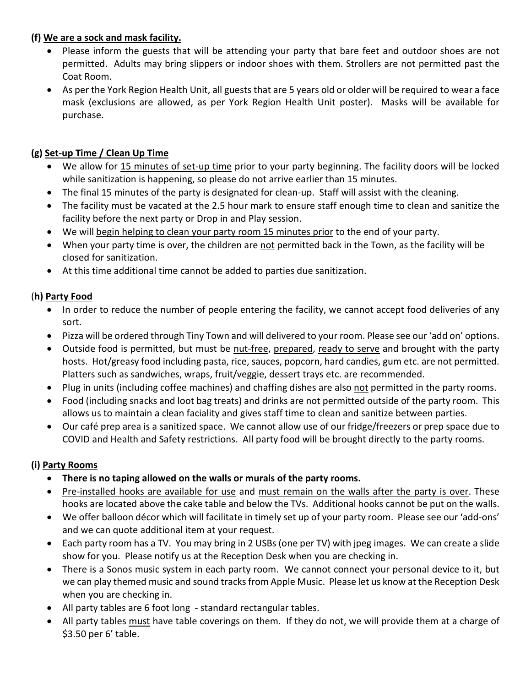### **(f) We are a sock and mask facility.**

- Please inform the guests that will be attending your party that bare feet and outdoor shoes are not permitted. Adults may bring slippers or indoor shoes with them. Strollers are not permitted past the Coat Room.
- As per the York Region Health Unit, all guests that are 5 years old or older will be required to wear a face mask (exclusions are allowed, as per York Region Health Unit poster). Masks will be available for purchase.

## **(g) Set-up Time / Clean Up Time**

- We allow for 15 minutes of set-up time prior to your party beginning. The facility doors will be locked while sanitization is happening, so please do not arrive earlier than 15 minutes.
- The final 15 minutes of the party is designated for clean-up. Staff will assist with the cleaning.
- The facility must be vacated at the 2.5 hour mark to ensure staff enough time to clean and sanitize the facility before the next party or Drop in and Play session.
- We will begin helping to clean your party room 15 minutes prior to the end of your party.
- When your party time is over, the children are not permitted back in the Town, as the facility will be closed for sanitization.
- At this time additional time cannot be added to parties due sanitization.

### (**h) Party Food**

- In order to reduce the number of people entering the facility, we cannot accept food deliveries of any sort.
- Pizza will be ordered through Tiny Town and will delivered to your room. Please see our 'add on' options.
- Outside food is permitted, but must be nut-free, prepared, ready to serve and brought with the party hosts. Hot/greasy food including pasta, rice, sauces, popcorn, hard candies, gum etc. are not permitted. Platters such as sandwiches, wraps, fruit/veggie, dessert trays etc. are recommended.
- Plug in units (including coffee machines) and chaffing dishes are also not permitted in the party rooms.
- Food (including snacks and loot bag treats) and drinks are not permitted outside of the party room. This allows us to maintain a clean faciality and gives staff time to clean and sanitize between parties.
- Our café prep area is a sanitized space. We cannot allow use of our fridge/freezers or prep space due to COVID and Health and Safety restrictions. All party food will be brought directly to the party rooms.

## **(i) Party Rooms**

- **There is no taping allowed on the walls or murals of the party rooms.**
- Pre-installed hooks are available for use and must remain on the walls after the party is over. These hooks are located above the cake table and below the TVs. Additional hooks cannot be put on the walls.
- We offer balloon décor which will facilitate in timely set up of your party room. Please see our 'add-ons' and we can quote additional item at your request.
- Each party room has a TV. You may bring in 2 USBs (one per TV) with jpeg images. We can create a slide show for you. Please notify us at the Reception Desk when you are checking in.
- There is a Sonos music system in each party room. We cannot connect your personal device to it, but we can play themed music and sound tracks from Apple Music. Please let us know at the Reception Desk when you are checking in.
- All party tables are 6 foot long standard rectangular tables.
- All party tables must have table coverings on them. If they do not, we will provide them at a charge of \$3.50 per 6' table.